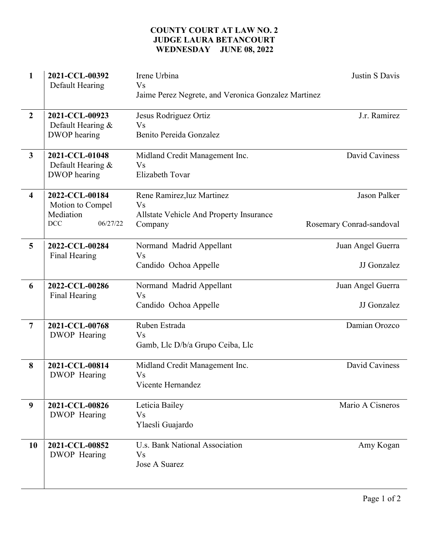## COUNTY COURT AT LAW NO. 2 JUDGE LAURA BETANCOURT WEDNESDAY JUNE 08, 2022

| $\mathbf{1}$            | 2021-CCL-00392<br>Default Hearing  | Irene Urbina<br>V <sub>S</sub>                      | Justin S Davis           |
|-------------------------|------------------------------------|-----------------------------------------------------|--------------------------|
|                         |                                    | Jaime Perez Negrete, and Veronica Gonzalez Martinez |                          |
| $\overline{2}$          | 2021-CCL-00923                     | Jesus Rodriguez Ortiz<br><b>Vs</b>                  | J.r. Ramirez             |
|                         | Default Hearing &<br>DWOP hearing  | Benito Pereida Gonzalez                             |                          |
| $\overline{3}$          | 2021-CCL-01048                     | Midland Credit Management Inc.                      | David Caviness           |
|                         | Default Hearing &<br>DWOP hearing  | <b>Vs</b><br><b>Elizabeth Tovar</b>                 |                          |
| $\overline{\mathbf{4}}$ | 2022-CCL-00184<br>Motion to Compel | Rene Ramirez, luz Martinez<br><b>Vs</b>             | <b>Jason Palker</b>      |
|                         | Mediation                          | Allstate Vehicle And Property Insurance             |                          |
|                         | 06/27/22<br>DCC                    | Company                                             | Rosemary Conrad-sandoval |
| 5                       | 2022-CCL-00284<br>Final Hearing    | Normand Madrid Appellant<br><b>Vs</b>               | Juan Angel Guerra        |
|                         |                                    | Candido Ochoa Appelle                               | JJ Gonzalez              |
| 6                       | 2022-CCL-00286<br>Final Hearing    | Normand Madrid Appellant<br><b>Vs</b>               | Juan Angel Guerra        |
|                         |                                    | Candido Ochoa Appelle                               | JJ Gonzalez              |
| $\overline{7}$          | 2021-CCL-00768                     | Ruben Estrada                                       | Damian Orozco            |
|                         | DWOP Hearing                       | <b>Vs</b><br>Gamb, Llc D/b/a Grupo Ceiba, Llc       |                          |
| 8                       | 2021-CCL-00814                     | Midland Credit Management Inc.                      | David Caviness           |
|                         | DWOP Hearing                       | V <sub>S</sub><br>Vicente Hernandez                 |                          |
| 9                       | 2021-CCL-00826                     | Leticia Bailey                                      | Mario A Cisneros         |
|                         | DWOP Hearing                       | <b>Vs</b><br>Ylaesli Guajardo                       |                          |
| 10                      | 2021-CCL-00852                     | U.s. Bank National Association                      | Amy Kogan                |
|                         | DWOP Hearing                       | <b>Vs</b><br>Jose A Suarez                          |                          |
|                         |                                    |                                                     |                          |